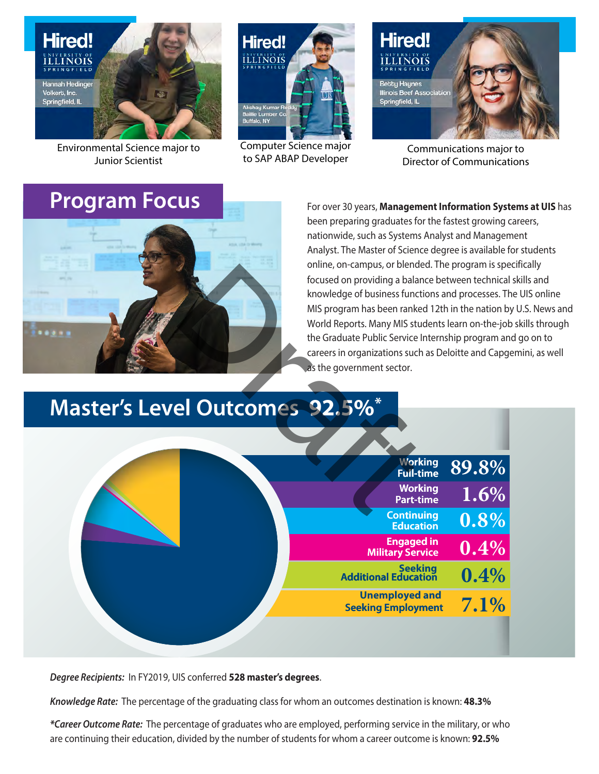

Environmental Science major to **Junior Scientist** 

### **Program Focus**



Computer Science major to SAP ABAP Developer



Communications major to **Director of Communications** 

**58 OWSTM MOT4SOMTTS TSOMS** SOOMSOSOSATOOX SOMESOODSENX **OOSSOOXSWITTOMOOM SEEMSOST5MUSHTSOOX** 1SS<sub>N</sub> **TISKAO TETSOM/X STOMSOMSTTOMSSX OT6AMSOOSAMMCMAMSX** KKKOKOKO

## **Master's Level Outcomes 92.5%\***



Degree Recipients: In FY20EC, UIS conferred 528 master's degrees.

Knowledge Rate: The percentage of the graduating class for whom an outcomes destination is known: 48.3%

\*Career Outcome Rate: The percentage of graduates who are employed, performing service in the military, or who. are continuing their education, divided by the number of students for whom a career outcome is known: 92.5%